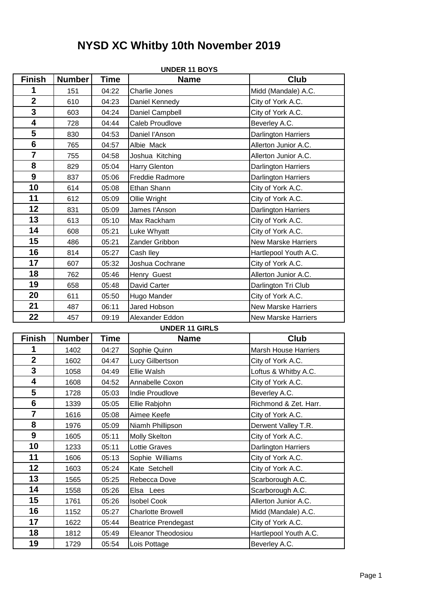# **NYSD XC Whitby 10th November 2019**

|                         |               |             | <b>UNDER 11 BOYS</b>       |                             |
|-------------------------|---------------|-------------|----------------------------|-----------------------------|
| <b>Finish</b>           | <b>Number</b> | <b>Time</b> | <b>Name</b>                | <b>Club</b>                 |
| 1                       | 151           | 04:22       | Charlie Jones              | Midd (Mandale) A.C.         |
| $\overline{2}$          | 610           | 04:23       | Daniel Kennedy             | City of York A.C.           |
| 3                       | 603           | 04:24       | Daniel Campbell            | City of York A.C.           |
| $\overline{\mathbf{4}}$ | 728           | 04:44       | Caleb Proudlove            | Beverley A.C.               |
| 5                       | 830           | 04:53       | Daniel l'Anson             | Darlington Harriers         |
| $6\phantom{1}$          | 765           | 04:57       | Albie Mack                 | Allerton Junior A.C.        |
| $\overline{\mathbf{7}}$ | 755           | 04:58       | Joshua Kitching            | Allerton Junior A.C.        |
| 8                       | 829           | 05:04       | <b>Harry Glenton</b>       | <b>Darlington Harriers</b>  |
| $\boldsymbol{9}$        | 837           | 05:06       | Freddie Radmore            | <b>Darlington Harriers</b>  |
| 10                      | 614           | 05:08       | Ethan Shann                | City of York A.C.           |
| 11                      | 612           | 05:09       | Ollie Wright               | City of York A.C.           |
| 12                      | 831           | 05:09       | James l'Anson              | <b>Darlington Harriers</b>  |
| 13                      | 613           | 05:10       | Max Rackham                | City of York A.C.           |
| 14                      | 608           | 05:21       | Luke Whyatt                | City of York A.C.           |
| 15                      | 486           | 05:21       | Zander Gribbon             | <b>New Marske Harriers</b>  |
| 16                      | 814           | 05:27       | Cash Iley                  | Hartlepool Youth A.C.       |
| 17                      | 607           | 05:32       | Joshua Cochrane            | City of York A.C.           |
| 18                      | 762           | 05:46       | Henry Guest                | Allerton Junior A.C.        |
| 19                      | 658           | 05:48       | David Carter               | Darlington Tri Club         |
| 20                      | 611           | 05:50       | Hugo Mander                | City of York A.C.           |
| 21                      | 487           | 06:11       | Jared Hobson               | <b>New Marske Harriers</b>  |
| 22                      | 457           | 09:19       | Alexander Eddon            | <b>New Marske Harriers</b>  |
|                         |               |             | <b>UNDER 11 GIRLS</b>      |                             |
| <b>Finish</b>           | <b>Number</b> | <b>Time</b> | <b>Name</b>                | <b>Club</b>                 |
| 1                       | 1402          | 04:27       | Sophie Quinn               | <b>Marsh House Harriers</b> |
| $\mathbf{2}$            | 1602          | 04:47       | Lucy Gilbertson            | City of York A.C.           |
| 3                       | 1058          | 04:49       | Ellie Walsh                | Loftus & Whitby A.C.        |
| $\overline{\mathbf{4}}$ | 1608          | 04:52       | Annabelle Coxon            | City of York A.C.           |
| 5                       | 1728          | 05:03       | Indie Proudlove            | Beverley A.C.               |
| 6                       | 1339          | 05:05       | Ellie Rabjohn              | Richmond & Zet. Harr.       |
| $\overline{7}$          | 1616          | 05:08       | Aimee Keefe                | City of York A.C.           |
| 8                       | 1976          | 05:09       | Niamh Phillipson           | Derwent Valley T.R.         |
| $\boldsymbol{9}$        | 1605          | 05:11       | <b>Molly Skelton</b>       | City of York A.C.           |
| 10                      | 1233          | 05:11       | Lottie Graves              | <b>Darlington Harriers</b>  |
| 11                      | 1606          | 05:13       | Sophie Williams            | City of York A.C.           |
| 12                      | 1603          | 05:24       | Kate Setchell              | City of York A.C.           |
| 13                      | 1565          | 05:25       | Rebecca Dove               | Scarborough A.C.            |
| 14                      | 1558          | 05:26       | Elsa Lees                  | Scarborough A.C.            |
| 15                      | 1761          | 05:26       | <b>Isobel Cook</b>         | Allerton Junior A.C.        |
| 16                      | 1152          | 05:27       | <b>Charlotte Browell</b>   | Midd (Mandale) A.C.         |
| 17                      | 1622          | 05:44       | <b>Beatrice Prendegast</b> | City of York A.C.           |
| 18                      | 1812          | 05:49       | Eleanor Theodosiou         | Hartlepool Youth A.C.       |
| 19                      | 1729          | 05:54       | Lois Pottage               | Beverley A.C.               |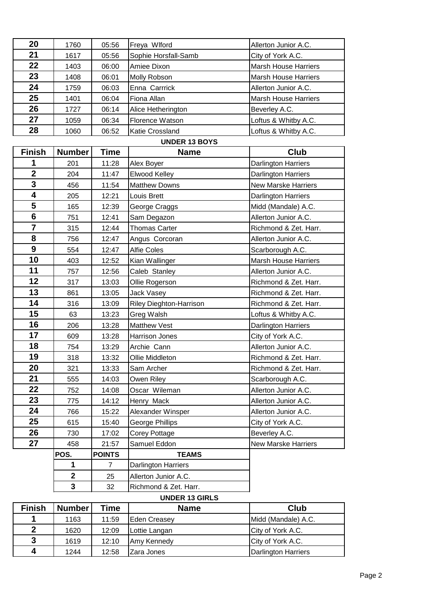| 20 | 1760 | 05:56 | Freya Wlford           | Allerton Junior A.C.        |
|----|------|-------|------------------------|-----------------------------|
| 21 | 1617 | 05:56 | Sophie Horsfall-Samb   | City of York A.C.           |
| 22 | 1403 | 06:00 | Amiee Dixon            | <b>Marsh House Harriers</b> |
| 23 | 1408 | 06:01 | Molly Robson           | <b>Marsh House Harriers</b> |
| 24 | 1759 | 06:03 | Enna Carrrick          | Allerton Junior A.C.        |
| 25 | 1401 | 06:04 | Fiona Allan            | <b>Marsh House Harriers</b> |
| 26 | 1727 | 06:14 | Alice Hetherington     | Beverley A.C.               |
| 27 | 1059 | 06:34 | <b>Florence Watson</b> | Loftus & Whitby A.C.        |
| 28 | 1060 | 06:52 | Katie Crossland        | Loftus & Whitby A.C.        |
|    |      |       |                        |                             |

#### **UNDER 13 BOYS**

| <b>Finish</b>           | Number                  | Time           | <b>Name</b>                    | Club                       |
|-------------------------|-------------------------|----------------|--------------------------------|----------------------------|
| 1                       | 201                     | 11:28          | Alex Boyer                     | <b>Darlington Harriers</b> |
| $\overline{\mathbf{2}}$ | 204                     | 11:47          | Elwood Kelley                  | Darlington Harriers        |
| 3                       | 456                     | 11:54          | <b>Matthew Downs</b>           | <b>New Marske Harriers</b> |
| 4                       | 205                     | 12:21          | Louis Brett                    | Darlington Harriers        |
| 5                       | 165                     | 12:39          | George Craggs                  | Midd (Mandale) A.C.        |
| 6                       | 751                     | 12:41          | Sam Degazon                    | Allerton Junior A.C.       |
| $\overline{7}$          | 315                     | 12:44          | <b>Thomas Carter</b>           | Richmond & Zet. Harr.      |
| 8                       | 756                     | 12:47          | Angus Corcoran                 | Allerton Junior A.C.       |
| 9                       | 554                     | 12:47          | <b>Alfie Coles</b>             | Scarborough A.C.           |
| 10                      | 403                     | 12:52          | Kian Wallinger                 | Marsh House Harriers       |
| 11                      | 757                     | 12:56          | Caleb Stanley                  | Allerton Junior A.C.       |
| 12                      | 317                     | 13:03          | Ollie Rogerson                 | Richmond & Zet. Harr.      |
| 13                      | 861                     | 13:05          | Jack Vasey                     | Richmond & Zet. Harr.      |
| 14                      | 316                     | 13:09          | <b>Riley Dieghton-Harrison</b> | Richmond & Zet. Harr.      |
| 15                      | 63                      | 13:23          | Greg Walsh                     | Loftus & Whitby A.C.       |
| 16                      | 206                     | 13:28          | Matthew Vest                   | <b>Darlington Harriers</b> |
| 17                      | 609                     | 13:28          | Harrison Jones                 | City of York A.C.          |
| 18                      | 754                     | 13:29          | Archie Cann                    | Allerton Junior A.C.       |
| 19                      | 318                     | 13:32          | Ollie Middleton                | Richmond & Zet. Harr.      |
| 20                      | 321                     | 13:33          | Sam Archer                     | Richmond & Zet. Harr.      |
| 21                      | 555                     | 14:03          | Owen Riley                     | Scarborough A.C.           |
| 22                      | 752                     | 14:08          | Oscar Wileman                  | Allerton Junior A.C.       |
| 23                      | 775                     | 14:12          | Henry Mack                     | Allerton Junior A.C.       |
| 24                      | 766                     | 15:22          | Alexander Winsper              | Allerton Junior A.C.       |
| 25                      | 615                     | 15:40          | <b>George Phillips</b>         | City of York A.C.          |
| 26                      | 730                     | 17:02          | Corey Pottage                  | Beverley A.C.              |
| 27                      | 458                     | 21:57          | Samuel Eddon                   | New Marske Harriers        |
|                         | POS.                    | <b>POINTS</b>  | <b>TEAMS</b>                   |                            |
|                         | $\mathbf{1}$            | $\overline{7}$ | Darlington Harriers            |                            |
|                         | $\overline{\mathbf{2}}$ | 25             | Allerton Junior A.C.           |                            |
|                         | 3                       | 32             | Richmond & Zet. Harr.          |                            |

# **UNDER 13 GIRLS**

| <b>Finish</b> | <b>Number</b> | Time  | <b>Name</b>   | Club                |
|---------------|---------------|-------|---------------|---------------------|
|               | 1163          | 11:59 | Eden Creasey  | Midd (Mandale) A.C. |
| າ             | 1620          | 12:09 | Lottie Langan | City of York A.C.   |
| 3             | 1619          | 12:10 | Amy Kennedy   | City of York A.C.   |
| 4             | 1244          | 12:58 | Zara Jones    | Darlington Harriers |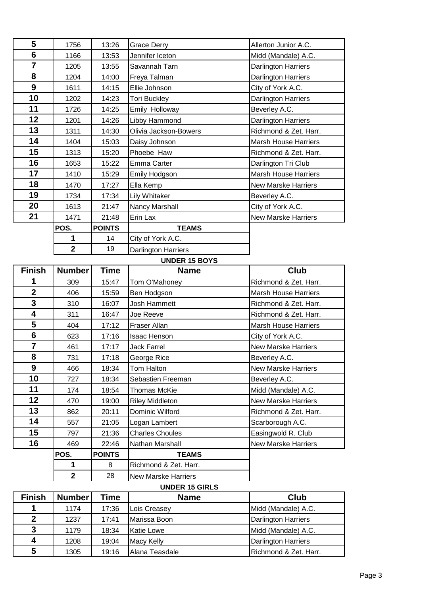| 5                | 1756                       | 13:26         | <b>Grace Derry</b>                   | Allerton Junior A.C.        |
|------------------|----------------------------|---------------|--------------------------------------|-----------------------------|
| $6\phantom{1}6$  | 1166                       | 13:53         | Jennifer Iceton                      | Midd (Mandale) A.C.         |
| $\overline{7}$   | 1205                       | 13:55         | Savannah Tarn                        | <b>Darlington Harriers</b>  |
| 8                | 1204                       | 14:00         | Freya Talman                         | <b>Darlington Harriers</b>  |
| $\boldsymbol{9}$ | 1611                       | 14:15         | Ellie Johnson                        | City of York A.C.           |
| 10               | 1202                       | 14:23         | <b>Tori Buckley</b>                  | <b>Darlington Harriers</b>  |
| 11               | 1726                       | 14:25         | Emily Holloway                       | Beverley A.C.               |
| 12               | 1201                       | 14:26         | Libby Hammond                        | Darlington Harriers         |
| 13               | 1311                       | 14:30         | Olivia Jackson-Bowers                | Richmond & Zet. Harr.       |
| 14               | 1404                       | 15:03         | Daisy Johnson                        | <b>Marsh House Harriers</b> |
| 15               | 1313                       | 15:20         | Phoebe Haw                           | Richmond & Zet. Harr.       |
| 16               | 1653                       | 15:22         | Emma Carter                          | Darlington Tri Club         |
| 17               | 1410                       | 15:29         | <b>Emily Hodgson</b>                 | <b>Marsh House Harriers</b> |
| 18               | 1470                       | 17:27         | Ella Kemp                            | <b>New Marske Harriers</b>  |
| 19               | 1734                       | 17:34         | Lily Whitaker                        | Beverley A.C.               |
| 20               | 1613                       | 21:47         | Nancy Marshall                       | City of York A.C.           |
| 21               | 1471                       | 21:48         | Erin Lax                             | <b>New Marske Harriers</b>  |
|                  | POS.                       | <b>POINTS</b> | <b>TEAMS</b>                         |                             |
|                  | 1                          | 14            | City of York A.C.                    |                             |
|                  | $\overline{2}$             | 19            | <b>Darlington Harriers</b>           |                             |
|                  |                            |               | <b>UNDER 15 BOYS</b>                 |                             |
| <b>Finish</b>    | <b>Number</b>              | <b>Time</b>   | <b>Name</b>                          | <b>Club</b>                 |
|                  |                            |               |                                      |                             |
| 1                | 309                        | 15:47         | Tom O'Mahoney                        | Richmond & Zet. Harr.       |
| $\overline{2}$   | 406                        | 15:59         | Ben Hodgson                          | <b>Marsh House Harriers</b> |
| 3                | 310                        | 16:07         | Josh Hammett                         | Richmond & Zet. Harr.       |
| 4                | 311                        | 16:47         | Joe Reeve                            | Richmond & Zet. Harr.       |
| 5                | 404                        | 17:12         | Fraser Allan                         | <b>Marsh House Harriers</b> |
| $6\phantom{1}6$  | 623                        | 17:16         | <b>Isaac Henson</b>                  | City of York A.C.           |
| $\overline{7}$   | 461                        | 17:17         | <b>Jack Farrel</b>                   | <b>New Marske Harriers</b>  |
| 8                | 731                        | 17:18         | George Rice                          | Beverley A.C.               |
| 9                | 466                        | 18:34         | Tom Halton                           | <b>New Marske Harriers</b>  |
| 10               | 727                        | 18:34         | Sebastien Freeman                    | Beverley A.C.               |
| 11               | 174                        | 18:54         | <b>Thomas McKie</b>                  | Midd (Mandale) A.C.         |
| 12               | 470                        | 19:00         | <b>Riley Middleton</b>               | <b>New Marske Harriers</b>  |
| 13               | 862                        | 20:11         | Dominic Wilford                      | Richmond & Zet. Harr.       |
| 14               | 557                        | 21:05         | Logan Lambert                        | Scarborough A.C.            |
| 15               | 797                        | 21:36         | <b>Charles Choules</b>               | Easingwold R. Club          |
| 16               | 469                        | 22:46         | Nathan Marshall                      | <b>New Marske Harriers</b>  |
|                  | POS.                       | <b>POINTS</b> | <b>TEAMS</b>                         |                             |
|                  | 1                          | 8             | Richmond & Zet. Harr.                |                             |
|                  | $\mathbf{2}$               | 28            | <b>New Marske Harriers</b>           |                             |
| <b>Cinich</b>    | $\lfloor$ Numbor $\rfloor$ | Timo          | <b>UNDER 15 GIRLS</b><br><b>Nomo</b> | C <sub>1</sub>              |

| <b>Finish</b> | <b>Number</b> | Time  | <b>Name</b>       | <b>Club</b>                |
|---------------|---------------|-------|-------------------|----------------------------|
| 1             | 1174          | 17:36 | Lois Creasey      | Midd (Mandale) A.C.        |
| $\mathbf{2}$  | 1237          | 17:41 | Marissa Boon      | <b>Darlington Harriers</b> |
| 3             | 1179          | 18:34 | <b>Katie Lowe</b> | Midd (Mandale) A.C.        |
| 4             | 1208          | 19:04 | <b>Macy Kelly</b> | <b>Darlington Harriers</b> |
| 5             | 1305          | 19:16 | Alana Teasdale    | Richmond & Zet. Harr.      |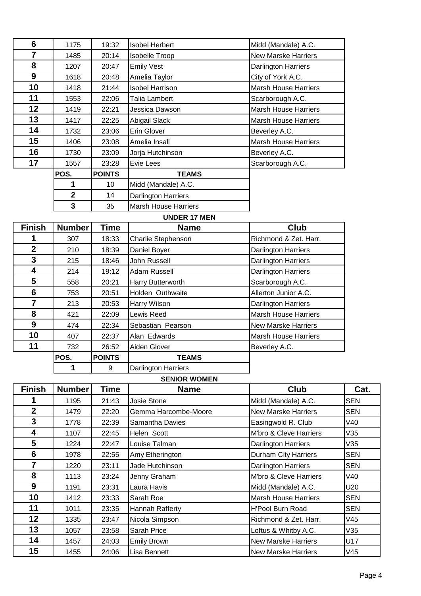| 6  | 1175         | 19:32         | <b>Isobel Herbert</b>       | Midd (Mandale) A.C.         |
|----|--------------|---------------|-----------------------------|-----------------------------|
| 7  | 1485         | 20:14         | <b>Isobelle Troop</b>       | <b>New Marske Harriers</b>  |
| 8  | 1207         | 20:47         | <b>Emily Vest</b>           | <b>Darlington Harriers</b>  |
| 9  | 1618         | 20:48         | Amelia Taylor               | City of York A.C.           |
| 10 | 1418         | 21:44         | <b>Isobel Harrison</b>      | <b>Marsh House Harriers</b> |
| 11 | 1553         | 22:06         | Talia Lambert               | Scarborough A.C.            |
| 12 | 1419         | 22:21         | Jessica Dawson              | <b>Marsh House Harriers</b> |
| 13 | 1417         | 22:25         | Abigail Slack               | <b>Marsh House Harriers</b> |
| 14 | 1732         | 23:06         | Erin Glover                 | Beverley A.C.               |
| 15 | 1406         | 23:08         | Amelia Insall               | <b>Marsh House Harriers</b> |
| 16 | 1730         | 23:09         | Jorja Hutchinson            | Beverley A.C.               |
| 17 | 1557         | 23:28         | Evie Lees                   | Scarborough A.C.            |
|    | POS.         | <b>POINTS</b> | <b>TEAMS</b>                |                             |
|    | 1            | 10            | Midd (Mandale) A.C.         |                             |
|    | $\mathbf{2}$ | 14            | <b>Darlington Harriers</b>  |                             |
|    | 3            | 35            | <b>Marsh House Harriers</b> |                             |

### **UNDER 17 MEN**

| <b>Finish</b>  | <b>Number</b> | <b>Time</b>   | <b>Name</b>                | <b>Club</b>                 |
|----------------|---------------|---------------|----------------------------|-----------------------------|
|                | 307           | 18:33         | <b>Charlie Stephenson</b>  | Richmond & Zet. Harr.       |
| $\mathbf{2}$   | 210           | 18:39         | Daniel Boyer               | <b>Darlington Harriers</b>  |
| 3              | 215           | 18:46         | John Russell               | Darlington Harriers         |
| 4              | 214           | 19:12         | Adam Russell               | <b>Darlington Harriers</b>  |
| 5              | 558           | 20:21         | Harry Butterworth          | Scarborough A.C.            |
| 6              | 753           | 20:51         | Holden Outhwaite           | Allerton Junior A.C.        |
| $\overline{7}$ | 213           | 20:53         | <b>Harry Wilson</b>        | <b>Darlington Harriers</b>  |
| 8              | 421           | 22:09         | Lewis Reed                 | <b>Marsh House Harriers</b> |
| 9              | 474           | 22:34         | Sebastian Pearson          | <b>New Marske Harriers</b>  |
| 10             | 407           | 22:37         | Alan Edwards               | <b>Marsh House Harriers</b> |
| 11             | 732           | 26:52         | Aiden Glover               | Beverley A.C.               |
|                | POS.          | <b>POINTS</b> | <b>TEAMS</b>               |                             |
|                |               | 9             | <b>Darlington Harriers</b> |                             |

## **SENIOR WOMEN**

| <b>Finish</b>   | <b>Number</b> | <b>Time</b> | <b>Name</b>          | <b>Club</b>                 | Cat.       |
|-----------------|---------------|-------------|----------------------|-----------------------------|------------|
|                 | 1195          | 21:43       | Josie Stone          | Midd (Mandale) A.C.         | <b>SEN</b> |
| $\mathbf{2}$    | 1479          | 22:20       | Gemma Harcombe-Moore | <b>New Marske Harriers</b>  | <b>SEN</b> |
| 3               | 1778          | 22:39       | Samantha Davies      | Easingwold R. Club          | V40        |
| 4               | 1107          | 22:45       | Helen Scott          | M'bro & Cleve Harriers      | V35        |
| $5\phantom{.0}$ | 1224          | 22:47       | Louise Talman        | <b>Darlington Harriers</b>  | V35        |
| 6               | 1978          | 22:55       | Amy Etherington      | <b>Durham City Harriers</b> | <b>SEN</b> |
| 7               | 1220          | 23:11       | Jade Hutchinson      | <b>Darlington Harriers</b>  | <b>SEN</b> |
| 8               | 1113          | 23:24       | Jenny Graham         | M'bro & Cleve Harriers      | V40        |
| 9               | 1191          | 23:31       | Laura Havis          | Midd (Mandale) A.C.         | U20        |
| 10              | 1412          | 23:33       | Sarah Roe            | <b>Marsh House Harriers</b> | <b>SEN</b> |
| 11              | 1011          | 23:35       | Hannah Rafferty      | H'Pool Burn Road            | <b>SEN</b> |
| 12 <sub>2</sub> | 1335          | 23:47       | Nicola Simpson       | Richmond & Zet. Harr.       | V45        |
| 13              | 1057          | 23:58       | Sarah Price          | Loftus & Whitby A.C.        | V35        |
| 14              | 1457          | 24:03       | <b>Emily Brown</b>   | <b>New Marske Harriers</b>  | U17        |
| 15              | 1455          | 24:06       | Lisa Bennett         | New Marske Harriers         | V45        |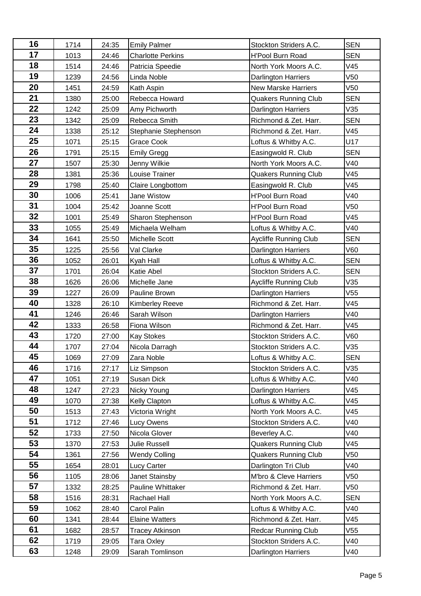| 16 | 1714 | 24:35 | <b>Emily Palmer</b>      | Stockton Striders A.C.       | <b>SEN</b>      |
|----|------|-------|--------------------------|------------------------------|-----------------|
| 17 | 1013 | 24:46 | <b>Charlotte Perkins</b> | <b>H'Pool Burn Road</b>      | <b>SEN</b>      |
| 18 | 1514 | 24:46 | Patricia Speedie         | North York Moors A.C.        | V45             |
| 19 | 1239 | 24:56 | Linda Noble              | <b>Darlington Harriers</b>   | V50             |
| 20 | 1451 | 24:59 | Kath Aspin               | <b>New Marske Harriers</b>   | V50             |
| 21 | 1380 | 25:00 | Rebecca Howard           | <b>Quakers Running Club</b>  | <b>SEN</b>      |
| 22 | 1242 | 25:09 | Amy Pichworth            | <b>Darlington Harriers</b>   | V35             |
| 23 | 1342 | 25:09 | Rebecca Smith            | Richmond & Zet. Harr.        | <b>SEN</b>      |
| 24 | 1338 | 25:12 | Stephanie Stephenson     | Richmond & Zet. Harr.        | V45             |
| 25 | 1071 | 25:15 | Grace Cook               | Loftus & Whitby A.C.         | U17             |
| 26 | 1791 | 25:15 | <b>Emily Gregg</b>       | Easingwold R. Club           | <b>SEN</b>      |
| 27 | 1507 | 25:30 | Jenny Wilkie             | North York Moors A.C.        | V40             |
| 28 | 1381 | 25:36 | Louise Trainer           | Quakers Running Club         | V45             |
| 29 | 1798 | 25:40 | Claire Longbottom        | Easingwold R. Club           | V45             |
| 30 | 1006 | 25:41 | Jane Wistow              | <b>H'Pool Burn Road</b>      | V40             |
| 31 | 1004 | 25:42 | Joanne Scott             | <b>H'Pool Burn Road</b>      | V <sub>50</sub> |
| 32 | 1001 | 25:49 | Sharon Stephenson        | H'Pool Burn Road             | V45             |
| 33 | 1055 | 25:49 | Michaela Welham          | Loftus & Whitby A.C.         | V40             |
| 34 | 1641 | 25:50 | <b>Michelle Scott</b>    | <b>Aycliffe Running Club</b> | <b>SEN</b>      |
| 35 | 1225 | 25:56 | Val Clarke               | <b>Darlington Harriers</b>   | V60             |
| 36 | 1052 | 26:01 | Kyah Hall                | Loftus & Whitby A.C.         | <b>SEN</b>      |
| 37 | 1701 | 26:04 | <b>Katie Abel</b>        | Stockton Striders A.C.       | <b>SEN</b>      |
| 38 | 1626 | 26:06 | Michelle Jane            | Aycliffe Running Club        | V35             |
| 39 | 1227 | 26:09 | Pauline Brown            | <b>Darlington Harriers</b>   | V <sub>55</sub> |
| 40 | 1328 | 26:10 | <b>Kimberley Reeve</b>   | Richmond & Zet. Harr.        | V45             |
| 41 | 1246 | 26:46 | Sarah Wilson             | <b>Darlington Harriers</b>   | V40             |
| 42 | 1333 | 26:58 | Fiona Wilson             | Richmond & Zet. Harr.        | V45             |
| 43 | 1720 | 27:00 | <b>Kay Stokes</b>        | Stockton Striders A.C.       | V60             |
| 44 | 1707 | 27:04 | Nicola Darragh           | Stockton Striders A.C.       | V35             |
| 45 | 1069 | 27:09 | Zara Noble               | Loftus & Whitby A.C.         | <b>SEN</b>      |
| 46 | 1716 | 27:17 | Liz Simpson              | Stockton Striders A.C.       | V35             |
| 47 | 1051 | 27:19 | Susan Dick               | Loftus & Whitby A.C.         | V40             |
| 48 | 1247 | 27:23 | Nicky Young              | <b>Darlington Harriers</b>   | V45             |
| 49 | 1070 | 27:38 | Kelly Clapton            | Loftus & Whitby A.C.         | V45             |
| 50 | 1513 | 27:43 | Victoria Wright          | North York Moors A.C.        | V45             |
| 51 | 1712 | 27:46 | Lucy Owens               | Stockton Striders A.C.       | V40             |
| 52 | 1733 | 27:50 | Nicola Glover            | Beverley A.C.                | V40             |
| 53 | 1370 | 27:53 | Julie Russell            | <b>Quakers Running Club</b>  | V45             |
| 54 | 1361 | 27:56 | <b>Wendy Colling</b>     | <b>Quakers Running Club</b>  | V50             |
| 55 | 1654 | 28:01 | <b>Lucy Carter</b>       | Darlington Tri Club          | V40             |
| 56 | 1105 | 28:06 | Janet Stainsby           | M'bro & Cleve Harriers       | V50             |
| 57 | 1332 | 28:25 | Pauline Whittaker        | Richmond & Zet. Harr.        | V50             |
| 58 | 1516 | 28:31 | Rachael Hall             | North York Moors A.C.        | <b>SEN</b>      |
| 59 | 1062 | 28:40 | Carol Palin              | Loftus & Whitby A.C.         | V40             |
| 60 | 1341 | 28:44 | <b>Elaine Watters</b>    | Richmond & Zet. Harr.        | V45             |
| 61 | 1682 | 28:57 | <b>Tracey Atkinson</b>   | <b>Redcar Running Club</b>   | V55             |
| 62 | 1719 | 29:05 | <b>Tara Oxley</b>        | Stockton Striders A.C.       | V40             |
| 63 | 1248 | 29:09 | Sarah Tomlinson          | Darlington Harriers          | V40             |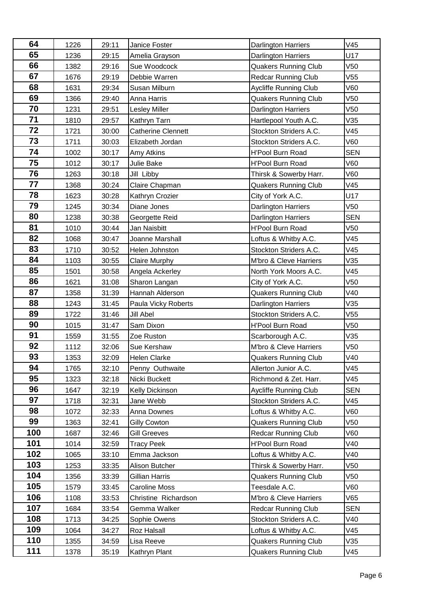| 64        | 1226         | 29:11          | Janice Foster                  | <b>Darlington Harriers</b>                     | V45             |
|-----------|--------------|----------------|--------------------------------|------------------------------------------------|-----------------|
| 65        | 1236         | 29:15          | Amelia Grayson                 | <b>Darlington Harriers</b>                     | U17             |
| 66        | 1382         | 29:16          | Sue Woodcock                   | <b>Quakers Running Club</b>                    | V <sub>50</sub> |
| 67        | 1676         | 29:19          | Debbie Warren                  | <b>Redcar Running Club</b>                     | V55             |
| 68        | 1631         | 29:34          | Susan Milburn                  | <b>Aycliffe Running Club</b>                   | V60             |
| 69        | 1366         | 29:40          | Anna Harris                    | <b>Quakers Running Club</b>                    | V <sub>50</sub> |
| 70        | 1231         | 29:51          | <b>Lesley Miller</b>           | <b>Darlington Harriers</b>                     | V <sub>50</sub> |
| 71        | 1810         | 29:57          | Kathryn Tarn                   | Hartlepool Youth A.C.                          | V35             |
| 72        | 1721         | 30:00          | <b>Catherine Clennett</b>      | Stockton Striders A.C.                         | V45             |
| 73        | 1711         | 30:03          | Elizabeth Jordan               | Stockton Striders A.C.                         | V60             |
| 74        | 1002         | 30:17          | Amy Atkins                     | <b>H'Pool Burn Road</b>                        | <b>SEN</b>      |
| 75        | 1012         | 30:17          | Julie Bake                     | H'Pool Burn Road                               | V60             |
| 76        | 1263         | 30:18          | Jill Libby                     | Thirsk & Sowerby Harr.                         | V60             |
| 77        | 1368         | 30:24          | Claire Chapman                 | <b>Quakers Running Club</b>                    | V45             |
| 78        | 1623         | 30:28          | Kathryn Crozier                | City of York A.C.                              | U17             |
| 79        | 1245         | 30:34          | Diane Jones                    | Darlington Harriers                            | V <sub>50</sub> |
| 80        | 1238         | 30:38          | Georgette Reid                 | Darlington Harriers                            | <b>SEN</b>      |
| 81        | 1010         | 30:44          | Jan Naisbitt                   | <b>H'Pool Burn Road</b>                        | V50             |
| 82        | 1068         | 30:47          | Joanne Marshall                | Loftus & Whitby A.C.                           | V45             |
| 83        | 1710         | 30:52          | Helen Johnston                 | Stockton Striders A.C.                         | V45             |
| 84        | 1103         | 30:55          | <b>Claire Murphy</b>           | M'bro & Cleve Harriers                         | V35             |
| 85        | 1501         | 30:58          | Angela Ackerley                | North York Moors A.C.                          | V45             |
| 86        | 1621         | 31:08          | Sharon Langan                  | City of York A.C.                              | V <sub>50</sub> |
| 87        | 1358         | 31:39          | Hannah Alderson                | <b>Quakers Running Club</b>                    | V40             |
| 88        | 1243         | 31:45          | Paula Vicky Roberts            | Darlington Harriers                            | V35             |
| 89        | 1722         | 31:46          | Jill Abel                      | Stockton Striders A.C.                         | V <sub>55</sub> |
| 90        | 1015         | 31:47          | Sam Dixon                      | <b>H'Pool Burn Road</b>                        | V <sub>50</sub> |
| 91        | 1559         | 31:55          | Zoe Ruston                     | Scarborough A.C.                               | V35             |
| 92        | 1112         | 32:06          | Sue Kershaw                    | M'bro & Cleve Harriers                         | V <sub>50</sub> |
| 93        | 1353         | 32:09          | Helen Clarke                   | <b>Quakers Running Club</b>                    | V40             |
| 94        | 1765         | 32:10          | Penny Outhwaite                | Allerton Junior A.C.                           | V45             |
| 95        | 1323         | 32:18          | Nicki Buckett                  | Richmond & Zet. Harr.                          | V45             |
| 96        | 1647         | 32:19          | Kelly Dickinson                | Aycliffe Running Club                          | <b>SEN</b>      |
| 97        | 1718         | 32:31          | Jane Webb                      | Stockton Striders A.C.                         | V45             |
| 98        | 1072         | 32:33          | Anna Downes                    | Loftus & Whitby A.C.                           | V60             |
| 99<br>100 | 1363         | 32:41          | <b>Gilly Cowton</b>            | <b>Quakers Running Club</b>                    | V50             |
| 101       | 1687         | 32:46          | <b>Gill Greeves</b>            | <b>Redcar Running Club</b>                     | V60             |
| 102       | 1014         | 32:59          | <b>Tracy Peek</b>              | <b>H'Pool Burn Road</b>                        | V40<br>V40      |
| 103       | 1065         | 33:10          | Emma Jackson<br>Alison Butcher | Loftus & Whitby A.C.<br>Thirsk & Sowerby Harr. | V50             |
| 104       | 1253<br>1356 | 33:35<br>33:39 | Gillian Harris                 | <b>Quakers Running Club</b>                    | V50             |
| 105       | 1579         | 33:45          | <b>Caroline Moss</b>           | Teesdale A.C.                                  | V60             |
| 106       | 1108         | 33:53          | Christine Richardson           | M'bro & Cleve Harriers                         | V65             |
| 107       | 1684         | 33:54          | Gemma Walker                   | <b>Redcar Running Club</b>                     | <b>SEN</b>      |
| 108       | 1713         | 34:25          | Sophie Owens                   | Stockton Striders A.C.                         | V40             |
| 109       |              | 34:27          | <b>Roz Halsall</b>             | Loftus & Whitby A.C.                           | V45             |
|           |              |                |                                |                                                |                 |
| 110       | 1064<br>1355 | 34:59          | Lisa Reeve                     | <b>Quakers Running Club</b>                    | V35             |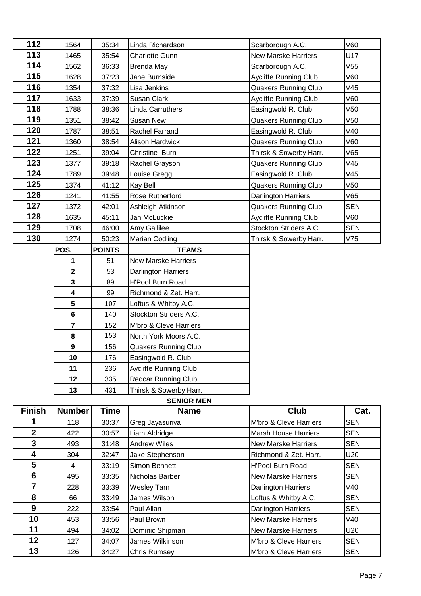| 112           | 1564                    | 35:34         | Linda Richardson            | Scarborough A.C.             | V60        |
|---------------|-------------------------|---------------|-----------------------------|------------------------------|------------|
| 113           | 1465                    | 35:54         | <b>Charlotte Gunn</b>       | <b>New Marske Harriers</b>   | U17        |
| 114           | 1562                    | 36:33         | <b>Brenda May</b>           | Scarborough A.C.             | V55        |
| 115           | 1628                    | 37:23         | Jane Burnside               | <b>Aycliffe Running Club</b> | V60        |
| 116           | 1354                    | 37:32         | Lisa Jenkins                | <b>Quakers Running Club</b>  | V45        |
| 117           | 1633                    | 37:39         | Susan Clark                 | <b>Aycliffe Running Club</b> | V60        |
| 118           | 1788                    | 38:36         | Linda Carruthers            | Easingwold R. Club           | V50        |
| 119           | 1351                    | 38:42         | Susan New                   | <b>Quakers Running Club</b>  | V50        |
| 120           | 1787                    | 38:51         | Rachel Farrand              | Easingwold R. Club           | V40        |
| 121           | 1360                    | 38:54         | Alison Hardwick             | <b>Quakers Running Club</b>  | V60        |
| 122           | 1251                    | 39:04         | Christine Burn              | Thirsk & Sowerby Harr.       | V65        |
| 123           | 1377                    | 39:18         | Rachel Grayson              | <b>Quakers Running Club</b>  | V45        |
| 124           | 1789                    | 39:48         | Louise Gregg                | Easingwold R. Club           | V45        |
| 125           | 1374                    | 41:12         | <b>Kay Bell</b>             | <b>Quakers Running Club</b>  | V50        |
| 126           | 1241                    | 41:55         | Rose Rutherford             | <b>Darlington Harriers</b>   | V65        |
| 127           | 1372                    | 42:01         | Ashleigh Atkinson           | <b>Quakers Running Club</b>  | <b>SEN</b> |
| 128           | 1635                    | 45:11         | Jan McLuckie                | <b>Aycliffe Running Club</b> | V60        |
| 129           | 1708                    | 46:00         | Amy Gallilee                | Stockton Striders A.C.       | <b>SEN</b> |
|               |                         |               |                             |                              |            |
| 130           | 1274                    | 50:23         | Marian Codling              | Thirsk & Sowerby Harr.       | V75        |
|               | POS.                    | <b>POINTS</b> | <b>TEAMS</b>                |                              |            |
|               | 1                       | 51            | <b>New Marske Harriers</b>  |                              |            |
|               | $\mathbf{2}$            | 53            | Darlington Harriers         |                              |            |
|               | $\mathbf{3}$            | 89            | H'Pool Burn Road            |                              |            |
|               | $\overline{\mathbf{4}}$ | 99            | Richmond & Zet. Harr.       |                              |            |
|               | $5\phantom{.0}$         | 107           | Loftus & Whitby A.C.        |                              |            |
|               | 6                       | 140           | Stockton Striders A.C.      |                              |            |
|               | $\overline{\mathbf{r}}$ | 152           | M'bro & Cleve Harriers      |                              |            |
|               | 8                       | 153           | North York Moors A.C.       |                              |            |
|               | $\boldsymbol{9}$        | 156           | <b>Quakers Running Club</b> |                              |            |
|               | 10                      | 176           | Easingwold R. Club          |                              |            |
|               | 11                      | 236           | Aycliffe Running Club       |                              |            |
|               | 12                      | 335           | Redcar Running Club         |                              |            |
|               | 13                      | 431           | Thirsk & Sowerby Harr.      |                              |            |
|               |                         |               | <b>SENIOR MEN</b>           |                              |            |
| <b>Finish</b> | <b>Number</b>           | <b>Time</b>   | <b>Name</b>                 | <b>Club</b>                  | Cat.       |

| <b>Finish</b>  | <b>Number</b> | <b>Time</b> | <b>Name</b>         | Club                        | Cat.       |
|----------------|---------------|-------------|---------------------|-----------------------------|------------|
|                | 118           | 30:37       | Greg Jayasuriya     | M'bro & Cleve Harriers      | <b>SEN</b> |
| $\overline{2}$ | 422           | 30:57       | Liam Aldridge       | <b>Marsh House Harriers</b> | <b>SEN</b> |
| 3              | 493           | 31:48       | <b>Andrew Wiles</b> | <b>New Marske Harriers</b>  | <b>SEN</b> |
| 4              | 304           | 32:47       | Jake Stephenson     | Richmond & Zet. Harr.       | U20        |
| 5              | 4             | 33:19       | Simon Bennett       | <b>H'Pool Burn Road</b>     | <b>SEN</b> |
| 6              | 495           | 33:35       | Nicholas Barber     | <b>New Marske Harriers</b>  | <b>SEN</b> |
| 7              | 228           | 33:39       | <b>Wesley Tarn</b>  | <b>Darlington Harriers</b>  | V40        |
| 8              | 66            | 33:49       | James Wilson        | Loftus & Whitby A.C.        | <b>SEN</b> |
| 9              | 222           | 33:54       | Paul Allan          | <b>Darlington Harriers</b>  | <b>SEN</b> |
| 10             | 453           | 33:56       | Paul Brown          | <b>New Marske Harriers</b>  | V40        |
| 11             | 494           | 34:02       | Dominic Shipman     | <b>New Marske Harriers</b>  | U20        |
| $12 \,$        | 127           | 34:07       | James Wilkinson     | M'bro & Cleve Harriers      | <b>SEN</b> |
| 13             | 126           | 34:27       | <b>Chris Rumsey</b> | M'bro & Cleve Harriers      | <b>SEN</b> |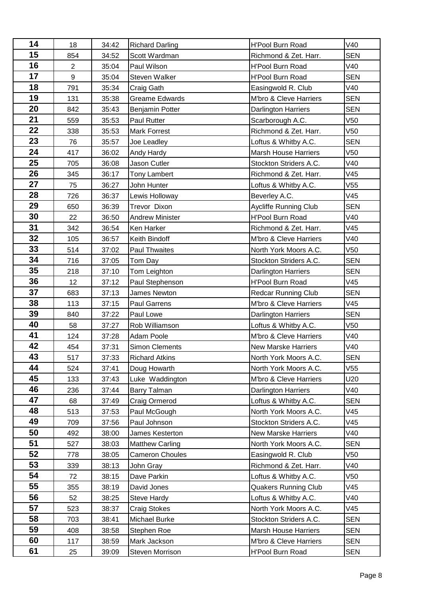| 14 | 18             | 34:42 | <b>Richard Darling</b> | H'Pool Burn Road            | V40             |
|----|----------------|-------|------------------------|-----------------------------|-----------------|
| 15 | 854            | 34:52 | Scott Wardman          | Richmond & Zet. Harr.       | <b>SEN</b>      |
| 16 | $\overline{2}$ | 35:04 | Paul Wilson            | H'Pool Burn Road            | V40             |
| 17 | 9              | 35:04 | Steven Walker          | <b>H'Pool Burn Road</b>     | <b>SEN</b>      |
| 18 | 791            | 35:34 | Craig Gath             | Easingwold R. Club          | V40             |
| 19 | 131            | 35:38 | <b>Greame Edwards</b>  | M'bro & Cleve Harriers      | <b>SEN</b>      |
| 20 | 842            | 35:43 | <b>Benjamin Potter</b> | <b>Darlington Harriers</b>  | <b>SEN</b>      |
| 21 | 559            | 35:53 | <b>Paul Rutter</b>     | Scarborough A.C.            | V50             |
| 22 | 338            | 35:53 | <b>Mark Forrest</b>    | Richmond & Zet. Harr.       | V <sub>50</sub> |
| 23 | 76             | 35:57 | Joe Leadley            | Loftus & Whitby A.C.        | <b>SEN</b>      |
| 24 | 417            | 36:02 | Andy Hardy             | <b>Marsh House Harriers</b> | V <sub>50</sub> |
| 25 | 705            | 36:08 | Jason Cutler           | Stockton Striders A.C.      | V40             |
| 26 | 345            | 36:17 | <b>Tony Lambert</b>    | Richmond & Zet. Harr.       | V45             |
| 27 | 75             | 36:27 | John Hunter            | Loftus & Whitby A.C.        | V <sub>55</sub> |
| 28 | 726            | 36:37 | Lewis Holloway         | Beverley A.C.               | V45             |
| 29 | 650            | 36:39 | Trevor Dixon           | Aycliffe Running Club       | <b>SEN</b>      |
| 30 | 22             | 36:50 | <b>Andrew Minister</b> | H'Pool Burn Road            | V40             |
| 31 | 342            | 36:54 | Ken Harker             | Richmond & Zet. Harr.       | V45             |
| 32 | 105            | 36:57 | Keith Bindoff          | M'bro & Cleve Harriers      | V40             |
| 33 | 514            | 37:02 | Paul Thwaites          | North York Moors A.C.       | V <sub>50</sub> |
| 34 | 716            | 37:05 | Tom Day                | Stockton Striders A.C.      | <b>SEN</b>      |
| 35 | 218            | 37:10 | Tom Leighton           | <b>Darlington Harriers</b>  | <b>SEN</b>      |
| 36 | 12             | 37:12 | Paul Stephenson        | H'Pool Burn Road            | V45             |
| 37 | 683            | 37:13 | James Newton           | <b>Redcar Running Club</b>  | <b>SEN</b>      |
| 38 | 113            | 37:15 | Paul Garrens           | M'bro & Cleve Harriers      | V45             |
| 39 | 840            | 37:22 | Paul Lowe              | <b>Darlington Harriers</b>  | <b>SEN</b>      |
| 40 | 58             | 37:27 | Rob Williamson         | Loftus & Whitby A.C.        | V <sub>50</sub> |
| 41 | 124            | 37:28 | Adam Poole             | M'bro & Cleve Harriers      | V40             |
| 42 | 454            | 37:31 | <b>Simon Clements</b>  | <b>New Marske Harriers</b>  | V40             |
| 43 | 517            | 37:33 | <b>Richard Atkins</b>  | North York Moors A.C.       | <b>SEN</b>      |
| 44 | 524            | 37:41 | Doug Howarth           | North York Moors A.C.       | V55             |
| 45 | 133            | 37:43 | Luke Waddington        | M'bro & Cleve Harriers      | U20             |
| 46 | 236            | 37:44 | Barry Talman           | <b>Darlington Harriers</b>  | V40             |
| 47 | 68             | 37:49 | Craig Ormerod          | Loftus & Whitby A.C.        | <b>SEN</b>      |
| 48 | 513            | 37:53 | Paul McGough           | North York Moors A.C.       | V45             |
| 49 | 709            | 37:56 | Paul Johnson           | Stockton Striders A.C.      | V45             |
| 50 | 492            | 38:00 | James Kesterton        | <b>New Marske Harriers</b>  | V40             |
| 51 | 527            | 38:03 | <b>Matthew Carling</b> | North York Moors A.C.       | <b>SEN</b>      |
| 52 | 778            | 38:05 | <b>Cameron Choules</b> | Easingwold R. Club          | V50             |
| 53 | 339            | 38:13 | John Gray              | Richmond & Zet. Harr.       | V40             |
| 54 | 72             | 38:15 | Dave Parkin            | Loftus & Whitby A.C.        | V50             |
| 55 | 355            | 38:19 | David Jones            | <b>Quakers Running Club</b> | V45             |
| 56 | 52             | 38:25 | Steve Hardy            | Loftus & Whitby A.C.        | V40             |
| 57 | 523            | 38:37 | <b>Craig Stokes</b>    | North York Moors A.C.       | V45             |
| 58 | 703            | 38:41 | Michael Burke          | Stockton Striders A.C.      | <b>SEN</b>      |
| 59 | 408            | 38:58 | Stephen Roe            | <b>Marsh House Harriers</b> | <b>SEN</b>      |
| 60 | 117            | 38:59 | Mark Jackson           | M'bro & Cleve Harriers      | <b>SEN</b>      |
| 61 | 25             | 39:09 | Steven Morrison        | H'Pool Burn Road            | <b>SEN</b>      |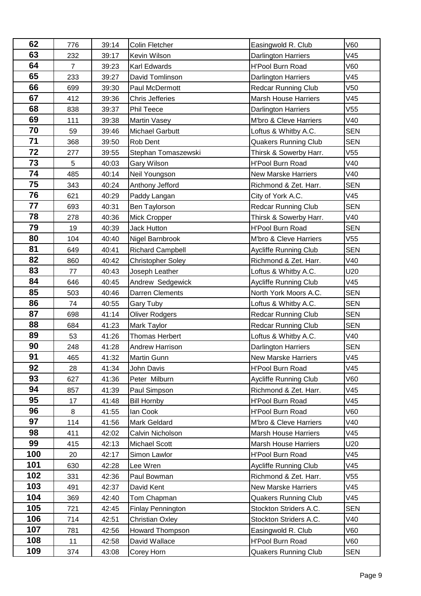| 62  | 776            | 39:14 | Colin Fletcher           | Easingwold R. Club           | V60             |
|-----|----------------|-------|--------------------------|------------------------------|-----------------|
| 63  | 232            | 39:17 | Kevin Wilson             | <b>Darlington Harriers</b>   | V45             |
| 64  | $\overline{7}$ | 39:23 | Karl Edwards             | H'Pool Burn Road             | V60             |
| 65  | 233            | 39:27 | David Tomlinson          | <b>Darlington Harriers</b>   | V45             |
| 66  | 699            | 39:30 | Paul McDermott           | <b>Redcar Running Club</b>   | V <sub>50</sub> |
| 67  | 412            | 39:36 | <b>Chris Jefferies</b>   | <b>Marsh House Harriers</b>  | V45             |
| 68  | 838            | 39:37 | Phil Teece               | <b>Darlington Harriers</b>   | V <sub>55</sub> |
| 69  | 111            | 39:38 | Martin Vasey             | M'bro & Cleve Harriers       | V40             |
| 70  | 59             | 39:46 | <b>Michael Garbutt</b>   | Loftus & Whitby A.C.         | <b>SEN</b>      |
| 71  | 368            | 39:50 | Rob Dent                 | <b>Quakers Running Club</b>  | <b>SEN</b>      |
| 72  | 277            | 39:55 | Stephan Tomaszewski      | Thirsk & Sowerby Harr.       | V <sub>55</sub> |
| 73  | 5              | 40:03 | Gary Wilson              | H'Pool Burn Road             | V40             |
| 74  | 485            | 40:14 | Neil Youngson            | <b>New Marske Harriers</b>   | V40             |
| 75  | 343            | 40:24 | Anthony Jefford          | Richmond & Zet. Harr.        | <b>SEN</b>      |
| 76  | 621            | 40:29 | Paddy Langan             | City of York A.C.            | V45             |
| 77  | 693            | 40:31 | Ben Taylorson            | <b>Redcar Running Club</b>   | <b>SEN</b>      |
| 78  | 278            | 40:36 | Mick Cropper             | Thirsk & Sowerby Harr.       | V40             |
| 79  | 19             | 40:39 | <b>Jack Hutton</b>       | H'Pool Burn Road             | <b>SEN</b>      |
| 80  | 104            | 40:40 | Nigel Barnbrook          | M'bro & Cleve Harriers       | V55             |
| 81  | 649            | 40:41 | <b>Richard Campbell</b>  | Aycliffe Running Club        | <b>SEN</b>      |
| 82  | 860            | 40:42 | <b>Christopher Soley</b> | Richmond & Zet. Harr.        | V40             |
| 83  | 77             | 40:43 | Joseph Leather           | Loftus & Whitby A.C.         | U20             |
| 84  | 646            | 40:45 | Andrew Sedgewick         | Aycliffe Running Club        | V45             |
| 85  | 503            | 40:46 | Darren Clements          | North York Moors A.C.        | <b>SEN</b>      |
| 86  | 74             | 40:55 | Gary Tuby                | Loftus & Whitby A.C.         | <b>SEN</b>      |
| 87  | 698            | 41:14 | <b>Oliver Rodgers</b>    | <b>Redcar Running Club</b>   | <b>SEN</b>      |
| 88  | 684            | 41:23 | Mark Taylor              | <b>Redcar Running Club</b>   | SEN             |
| 89  | 53             | 41:26 | Thomas Herbert           | Loftus & Whitby A.C.         | V40             |
| 90  | 248            | 41:28 | Andrew Harrison          | <b>Darlington Harriers</b>   | <b>SEN</b>      |
| 91  | 465            | 41:32 | <b>Martin Gunn</b>       | <b>New Marske Harriers</b>   | V45             |
| 92  | 28             | 41:34 | John Davis               | <b>H'Pool Burn Road</b>      | V45             |
| 93  | 627            | 41:36 | Peter Milburn            | <b>Aycliffe Running Club</b> | V60             |
| 94  | 857            | 41:39 | Paul Simpson             | Richmond & Zet. Harr.        | V45             |
| 95  | 17             | 41:48 | <b>Bill Hornby</b>       | H'Pool Burn Road             | V45             |
| 96  | 8              | 41:55 | lan Cook                 | H'Pool Burn Road             | V60             |
| 97  | 114            | 41:56 | Mark Geldard             | M'bro & Cleve Harriers       | V40             |
| 98  | 411            | 42:02 | Calvin Nicholson         | <b>Marsh House Harriers</b>  | V45             |
| 99  | 415            | 42:13 | Michael Scott            | <b>Marsh House Harriers</b>  | U20             |
| 100 | 20             | 42:17 | Simon Lawlor             | H'Pool Burn Road             | V45             |
| 101 | 630            | 42:28 | Lee Wren                 | Aycliffe Running Club        | V45             |
| 102 | 331            | 42:36 | Paul Bowman              | Richmond & Zet. Harr.        | V55             |
| 103 | 491            | 42:37 | David Kent               | <b>New Marske Harriers</b>   | V45             |
| 104 | 369            | 42:40 | Tom Chapman              | <b>Quakers Running Club</b>  | V45             |
| 105 | 721            | 42:45 | <b>Finlay Pennington</b> | Stockton Striders A.C.       | <b>SEN</b>      |
| 106 | 714            | 42:51 | <b>Christian Oxley</b>   | Stockton Striders A.C.       | V40             |
| 107 | 781            | 42:56 | <b>Howard Thompson</b>   | Easingwold R. Club           | V60             |
| 108 | 11             | 42:58 | David Wallace            | H'Pool Burn Road             | V60             |
| 109 | 374            | 43:08 | Corey Horn               | <b>Quakers Running Club</b>  | <b>SEN</b>      |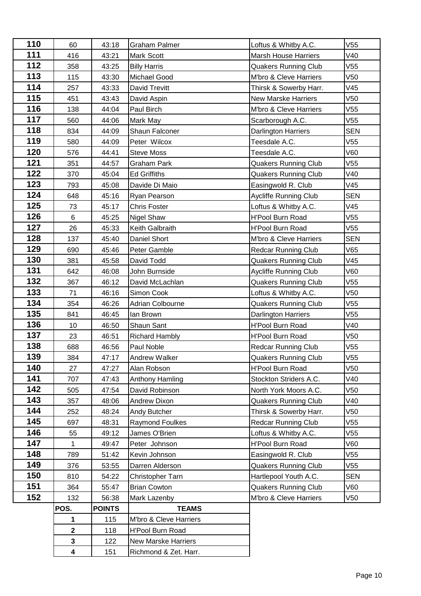| 110 | 60                      | 43:18         | <b>Graham Palmer</b>       | Loftus & Whitby A.C.         | V55             |
|-----|-------------------------|---------------|----------------------------|------------------------------|-----------------|
| 111 | 416                     | 43:21         | Mark Scott                 | <b>Marsh House Harriers</b>  | V40             |
| 112 | 358                     | 43:25         | <b>Billy Harris</b>        | <b>Quakers Running Club</b>  | V55             |
| 113 | 115                     | 43:30         | Michael Good               | M'bro & Cleve Harriers       | V50             |
| 114 | 257                     | 43:33         | David Trevitt              | Thirsk & Sowerby Harr.       | V45             |
| 115 | 451                     | 43:43         | David Aspin                | <b>New Marske Harriers</b>   | V <sub>50</sub> |
| 116 | 138                     | 44:04         | Paul Birch                 | M'bro & Cleve Harriers       | V55             |
| 117 | 560                     | 44:06         | Mark May                   | Scarborough A.C.             | V55             |
| 118 | 834                     | 44:09         | Shaun Falconer             | Darlington Harriers          | <b>SEN</b>      |
| 119 | 580                     | 44:09         | Peter Wilcox               | Teesdale A.C.                | V <sub>55</sub> |
| 120 | 576                     | 44:41         | <b>Steve Moss</b>          | Teesdale A.C.                | V60             |
| 121 | 351                     | 44:57         | <b>Graham Park</b>         | <b>Quakers Running Club</b>  | V55             |
| 122 | 370                     | 45:04         | <b>Ed Griffiths</b>        | <b>Quakers Running Club</b>  | V40             |
| 123 | 793                     | 45:08         | Davide Di Maio             | Easingwold R. Club           | V45             |
| 124 | 648                     | 45:16         | Ryan Pearson               | <b>Aycliffe Running Club</b> | <b>SEN</b>      |
| 125 | 73                      | 45:17         | <b>Chris Foster</b>        | Loftus & Whitby A.C.         | V45             |
| 126 | $\,6\,$                 | 45:25         | Nigel Shaw                 | <b>H'Pool Burn Road</b>      | V55             |
| 127 | 26                      | 45:33         | Keith Galbraith            | <b>H'Pool Burn Road</b>      | V55             |
| 128 | 137                     | 45:40         | Daniel Short               | M'bro & Cleve Harriers       | <b>SEN</b>      |
| 129 | 690                     | 45:46         | Peter Gamble               | <b>Redcar Running Club</b>   | V65             |
| 130 | 381                     | 45:58         | David Todd                 | <b>Quakers Running Club</b>  | V45             |
| 131 | 642                     | 46:08         | John Burnside              | Aycliffe Running Club        | V60             |
| 132 | 367                     | 46:12         | David McLachlan            | <b>Quakers Running Club</b>  | V55             |
| 133 | 71                      | 46:16         | Simon Cook                 | Loftus & Whitby A.C.         | V <sub>50</sub> |
| 134 | 354                     | 46:26         | Adrian Colbourne           | <b>Quakers Running Club</b>  | V55             |
| 135 | 841                     | 46:45         | lan Brown                  | Darlington Harriers          | V <sub>55</sub> |
| 136 | 10                      | 46:50         | Shaun Sant                 | <b>H'Pool Burn Road</b>      | V40             |
| 137 | 23                      | 46:51         | <b>Richard Hambly</b>      | <b>H'Pool Burn Road</b>      | V <sub>50</sub> |
| 138 | 688                     | 46:56         | Paul Noble                 | <b>Redcar Running Club</b>   | V55             |
| 139 | 384                     | 47:17         | <b>Andrew Walker</b>       | <b>Quakers Running Club</b>  | V55             |
| 140 | 27                      | 47:27         | Alan Robson                | <b>H'Pool Burn Road</b>      | V50             |
| 141 | 707                     | 47:43         | Anthony Hamling            | Stockton Striders A.C.       | V40             |
| 142 | 505                     | 47:54         | David Robinson             | North York Moors A.C.        | V50             |
| 143 | 357                     | 48:06         | <b>Andrew Dixon</b>        | <b>Quakers Running Club</b>  | V40             |
| 144 | 252                     | 48:24         | Andy Butcher               | Thirsk & Sowerby Harr.       | V50             |
| 145 | 697                     | 48:31         | <b>Raymond Foulkes</b>     | <b>Redcar Running Club</b>   | V55             |
| 146 | 55                      | 49:12         | James O'Brien              | Loftus & Whitby A.C.         | V55             |
| 147 | $\mathbf{1}$            | 49:47         | Peter Johnson              | H'Pool Burn Road             | V60             |
| 148 | 789                     | 51:42         | Kevin Johnson              | Easingwold R. Club           | V55             |
| 149 | 376                     | 53:55         | Darren Alderson            | <b>Quakers Running Club</b>  | V55             |
| 150 | 810                     | 54:22         | Christopher Tarn           | Hartlepool Youth A.C.        | <b>SEN</b>      |
| 151 | 364                     | 55:47         | <b>Brian Cowton</b>        | <b>Quakers Running Club</b>  | V60             |
| 152 | 132                     | 56:38         | Mark Lazenby               | M'bro & Cleve Harriers       | V50             |
|     | POS.                    | <b>POINTS</b> | <b>TEAMS</b>               |                              |                 |
|     | 1                       | 115           | M'bro & Cleve Harriers     |                              |                 |
|     | $\mathbf 2$             | 118           | H'Pool Burn Road           |                              |                 |
|     | $\mathbf{3}$            | 122           | <b>New Marske Harriers</b> |                              |                 |
|     | $\overline{\mathbf{4}}$ | 151           | Richmond & Zet. Harr.      |                              |                 |